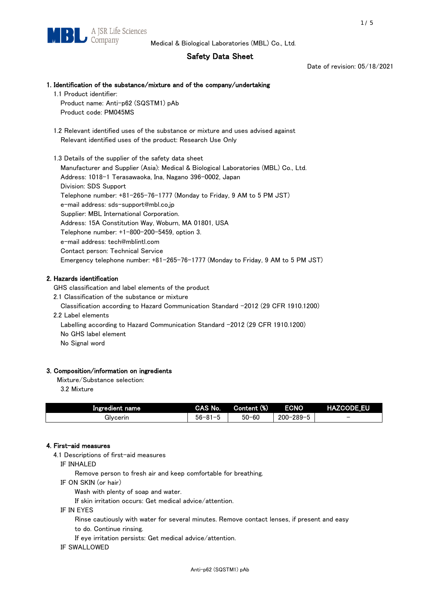# Safety Data Sheet

Date of revision: 05/18/2021

# 1. Identification of the substance/mixture and of the company/undertaking

1.1 Product identifier: Product name: Anti-p62 (SQSTM1) pAb

Product code: PM045MS

 1.2 Relevant identified uses of the substance or mixture and uses advised against Relevant identified uses of the product: Research Use Only

 1.3 Details of the supplier of the safety data sheet Manufacturer and Supplier (Asia): Medical & Biological Laboratories (MBL) Co., Ltd. Address: 1018-1 Terasawaoka, Ina, Nagano 396-0002, Japan Division: SDS Support Telephone number: +81-265-76-1777 (Monday to Friday, 9 AM to 5 PM JST) e-mail address: sds-support@mbl.co.jp Supplier: MBL International Corporation. Address: 15A Constitution Way, Woburn, MA 01801, USA Telephone number: +1-800-200-5459, option 3. e-mail address: tech@mblintl.com Contact person: Technical Service Emergency telephone number: +81-265-76-1777 (Monday to Friday, 9 AM to 5 PM JST)

# 2. Hazards identification

GHS classification and label elements of the product

2.1 Classification of the substance or mixture

Classification according to Hazard Communication Standard -2012 (29 CFR 1910.1200)

2.2 Label elements

Labelling according to Hazard Communication Standard -2012 (29 CFR 1910.1200) No GHS label element

No Signal word

# 3. Composition/information on ingredients

Mixture/Substance selection:

3.2 Mixture

| Ingredient name | CAS No.             | Content (%) | <b>ECNO</b>                                              | <b>HAZCODE_EU</b>        |
|-----------------|---------------------|-------------|----------------------------------------------------------|--------------------------|
| Glvcerin        | $56 - 81 -$<br>ິບ ເ | $50 - 60$   | $-289 - 1$<br>$200 - 2$<br>$\overline{\phantom{0}}$<br>v | $\overline{\phantom{0}}$ |

# 4. First-aid measures

4.1 Descriptions of first-aid measures

IF INHALED

Remove person to fresh air and keep comfortable for breathing.

IF ON SKIN (or hair)

Wash with plenty of soap and water.

If skin irritation occurs: Get medical advice/attention.

IF IN EYES

Rinse cautiously with water for several minutes. Remove contact lenses, if present and easy

to do. Continue rinsing.

If eye irritation persists: Get medical advice/attention.

IF SWALLOWED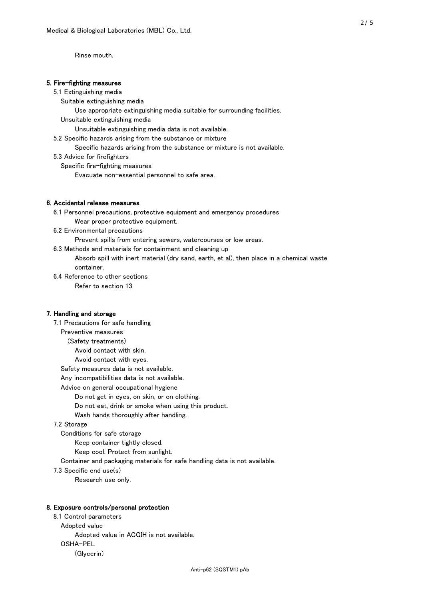Rinse mouth.

### 5. Fire-fighting measures

#### 5.1 Extinguishing media

Suitable extinguishing media

- Use appropriate extinguishing media suitable for surrounding facilities.
- Unsuitable extinguishing media

Unsuitable extinguishing media data is not available.

5.2 Specific hazards arising from the substance or mixture

Specific hazards arising from the substance or mixture is not available.

5.3 Advice for firefighters

Specific fire-fighting measures

Evacuate non-essential personnel to safe area.

#### 6. Accidental release measures

 6.1 Personnel precautions, protective equipment and emergency procedures Wear proper protective equipment.

6.2 Environmental precautions

Prevent spills from entering sewers, watercourses or low areas.

6.3 Methods and materials for containment and cleaning up

 Absorb spill with inert material (dry sand, earth, et al), then place in a chemical waste container.

6.4 Reference to other sections

Refer to section 13

## 7. Handling and storage

 7.1 Precautions for safe handling Preventive measures (Safety treatments) Avoid contact with skin. Avoid contact with eyes. Safety measures data is not available. Any incompatibilities data is not available. Advice on general occupational hygiene Do not get in eyes, on skin, or on clothing. Do not eat, drink or smoke when using this product. Wash hands thoroughly after handling. 7.2 Storage Conditions for safe storage Keep container tightly closed. Keep cool. Protect from sunlight.

Container and packaging materials for safe handling data is not available.

7.3 Specific end use(s)

Research use only.

### 8. Exposure controls/personal protection

 8.1 Control parameters Adopted value Adopted value in ACGIH is not available. OSHA-PEL (Glycerin)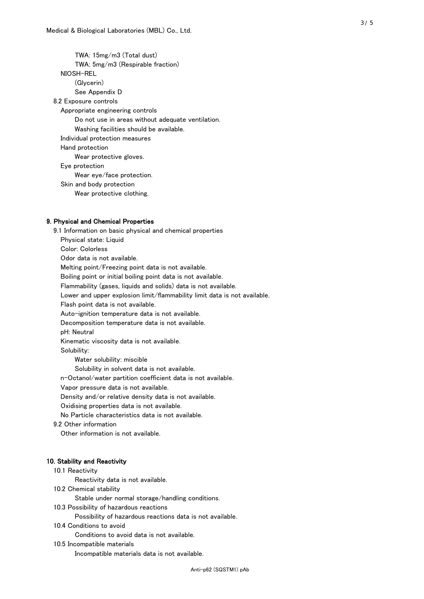TWA: 15mg/m3 (Total dust) TWA: 5mg/m3 (Respirable fraction) NIOSH-REL (Glycerin) See Appendix D 8.2 Exposure controls Appropriate engineering controls Do not use in areas without adequate ventilation. Washing facilities should be available. Individual protection measures Hand protection Wear protective gloves. Eye protection Wear eye/face protection. Skin and body protection Wear protective clothing.

## 9. Physical and Chemical Properties

 9.1 Information on basic physical and chemical properties Physical state: Liquid Color: Colorless Odor data is not available. Melting point/Freezing point data is not available. Boiling point or initial boiling point data is not available. Flammability (gases, liquids and solids) data is not available. Lower and upper explosion limit/flammability limit data is not available. Flash point data is not available. Auto-ignition temperature data is not available. Decomposition temperature data is not available. pH: Neutral Kinematic viscosity data is not available. Solubility: Water solubility: miscible Solubility in solvent data is not available. n-Octanol/water partition coefficient data is not available. Vapor pressure data is not available. Density and/or relative density data is not available. Oxidising properties data is not available. No Particle characteristics data is not available. 9.2 Other information Other information is not available. 10. Stability and Reactivity 10.1 Reactivity Reactivity data is not available. 10.2 Chemical stability Stable under normal storage/handling conditions.

10.3 Possibility of hazardous reactions

Possibility of hazardous reactions data is not available.

10.4 Conditions to avoid

Conditions to avoid data is not available.

10.5 Incompatible materials

Incompatible materials data is not available.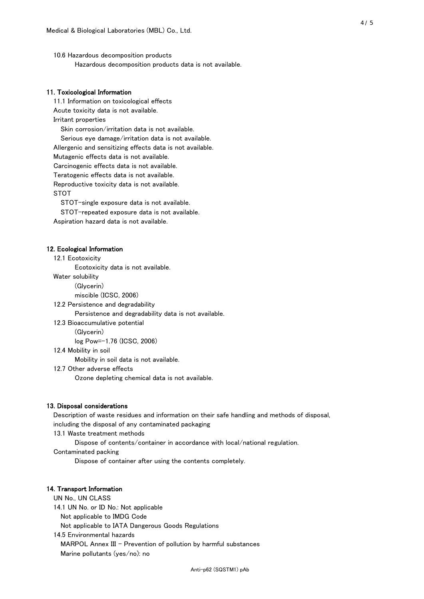10.6 Hazardous decomposition products Hazardous decomposition products data is not available.

## 11. Toxicological Information

 11.1 Information on toxicological effects Acute toxicity data is not available. Irritant properties Skin corrosion/irritation data is not available. Serious eye damage/irritation data is not available. Allergenic and sensitizing effects data is not available. Mutagenic effects data is not available. Carcinogenic effects data is not available. Teratogenic effects data is not available. Reproductive toxicity data is not available. STOT

STOT-single exposure data is not available.

STOT-repeated exposure data is not available.

Aspiration hazard data is not available.

#### 12. Ecological Information

12.1 Ecotoxicity

Ecotoxicity data is not available.

Water solubility

(Glycerin)

miscible (ICSC, 2006)

12.2 Persistence and degradability

Persistence and degradability data is not available.

12.3 Bioaccumulative potential

(Glycerin)

log Pow=-1.76 (ICSC, 2006)

12.4 Mobility in soil

Mobility in soil data is not available.

12.7 Other adverse effects

Ozone depleting chemical data is not available.

#### 13. Disposal considerations

 Description of waste residues and information on their safe handling and methods of disposal, including the disposal of any contaminated packaging

13.1 Waste treatment methods

Dispose of contents/container in accordance with local/national regulation.

Contaminated packing

Dispose of container after using the contents completely.

#### 14. Transport Information

 UN No., UN CLASS 14.1 UN No. or ID No.: Not applicable Not applicable to IMDG Code Not applicable to IATA Dangerous Goods Regulations

 14.5 Environmental hazards MARPOL Annex III - Prevention of pollution by harmful substances Marine pollutants (yes/no): no